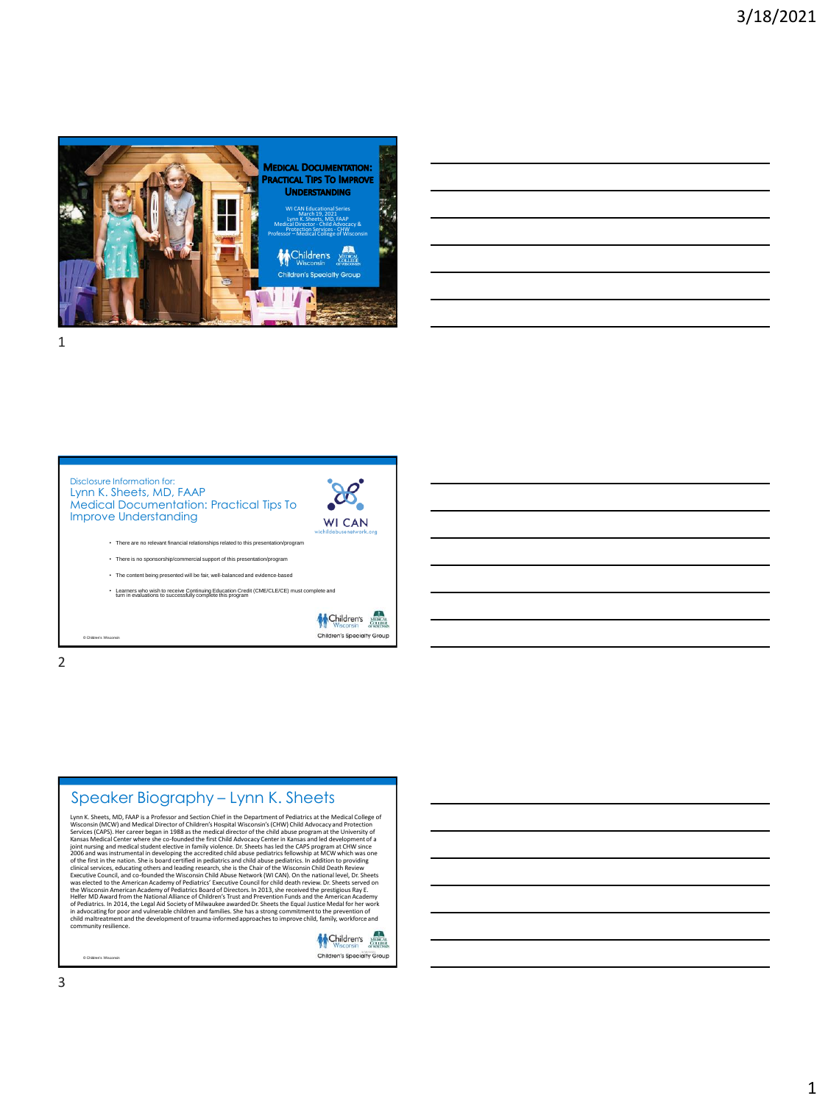

| <u> 1989 - Johann Stoff, deutscher Stoff, der Stoff, der Stoff, der Stoff, der Stoff, der Stoff, der Stoff, der S</u>  |  |  |
|------------------------------------------------------------------------------------------------------------------------|--|--|
| <u> 1989 - Johann Harry Harry Harry Harry Harry Harry Harry Harry Harry Harry Harry Harry Harry Harry Harry Harry</u>  |  |  |
|                                                                                                                        |  |  |
| <u> 1989 - Johann Stoff, amerikansk politiker (d. 1989)</u>                                                            |  |  |
| <u> 1989 - Jan Samuel Barbara, margaret e seu a contrador de la contrador de la contrador de la contrador de la c</u>  |  |  |
| <u> 1989 - Johann Stoff, deutscher Stoffen und der Stoffen und der Stoffen und der Stoffen und der Stoffen und der</u> |  |  |
|                                                                                                                        |  |  |





2



Lynn K. Sheets, MD, FAAP is a Professor and Section Chief in the Department of Pediatrics at the Medical College of Sections (MCW) and Medical Difector of Children's Hospital Wisconsin's (CHW) Child Advocacy and Protection



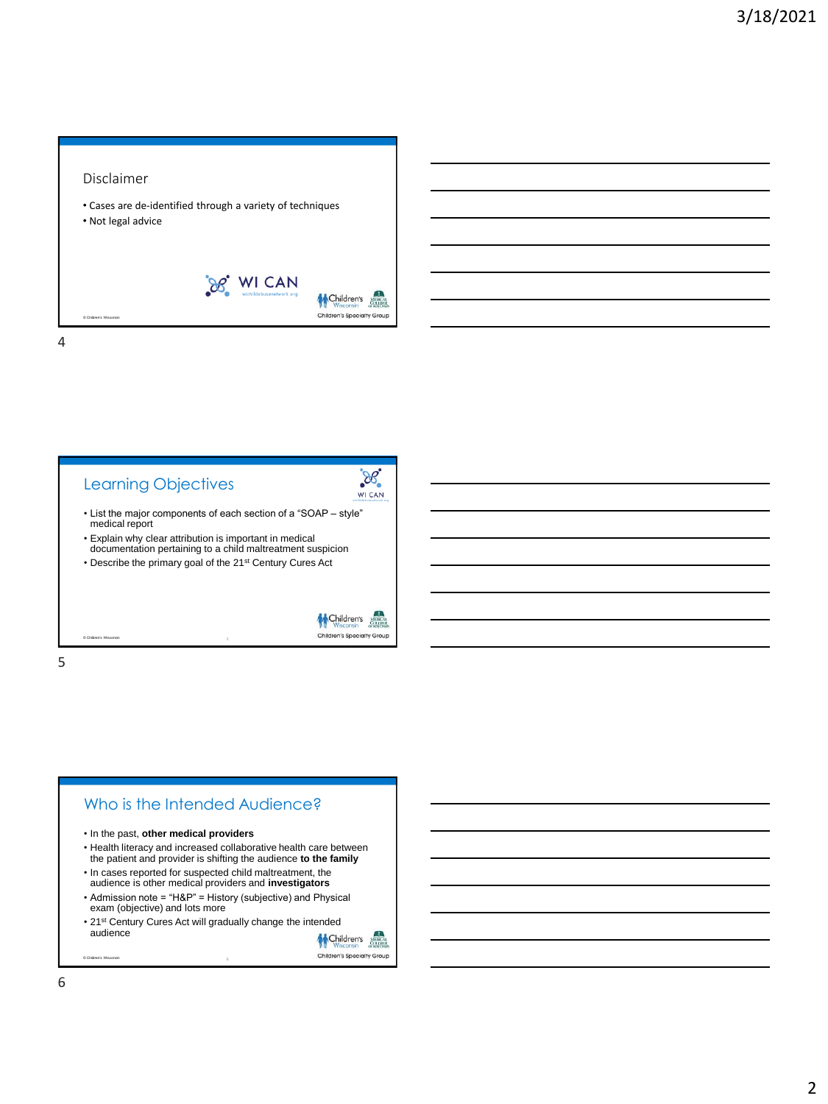## Disclaimer

- Cases are de-identified through a variety of techniques
- Not legal advice



4



5



CAL<br>EGI

6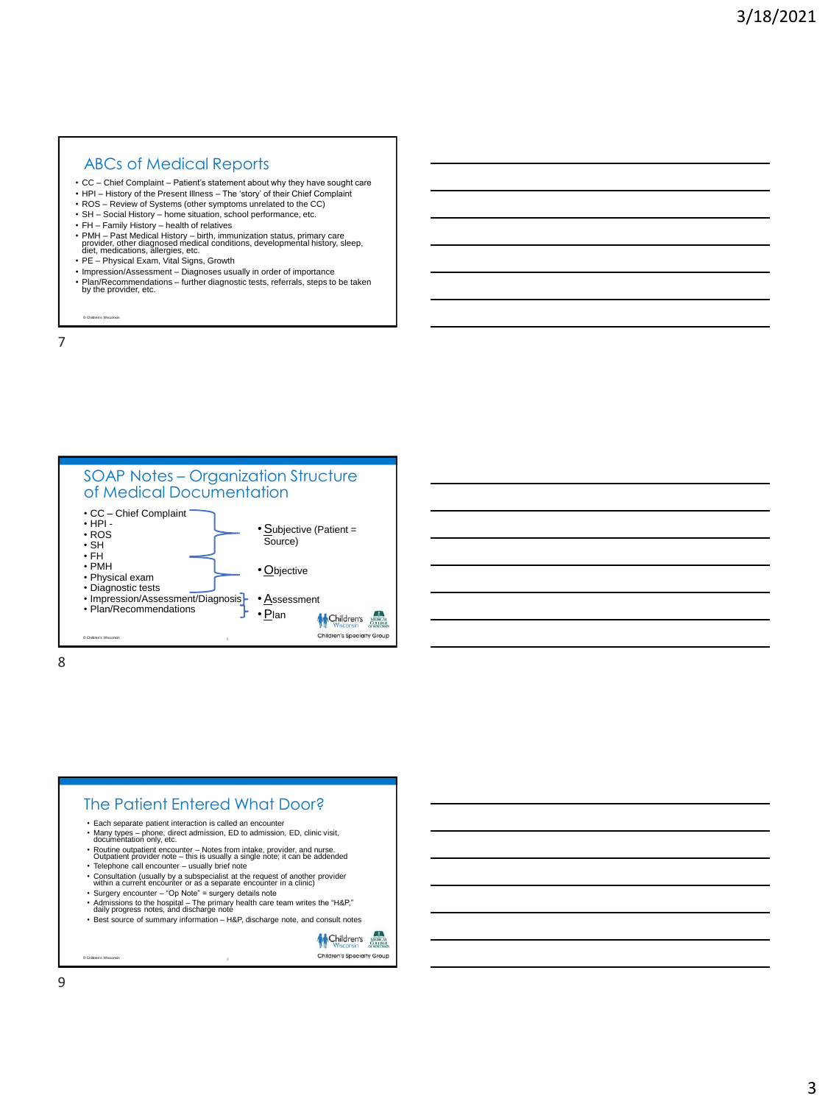## ABCs of Medical Reports

- CC Chief Complaint Patient's statement about why they have sought care
- HPI History of the Present Illness The 'story' of their Chief Complaint
- ROS Review of Systems (other symptoms unrelated to the CC) • SH – Social History – home situation, school performance, etc.
- 
- FH Family History health of relatives
- PMH Past Medical History birth, immunization status, primary care provider, other diagnosed medical conditions, developmental history, sleep, diet, medications, allergies, etc.
- PE Physical Exam, Vital Signs, Growth
- Impression/Assessment Diagnoses usually in order of importance • Plan/Recommendations – further diagnostic tests, referrals, steps to be taken by the provider, etc.

© Children's Wisconsin

7



8

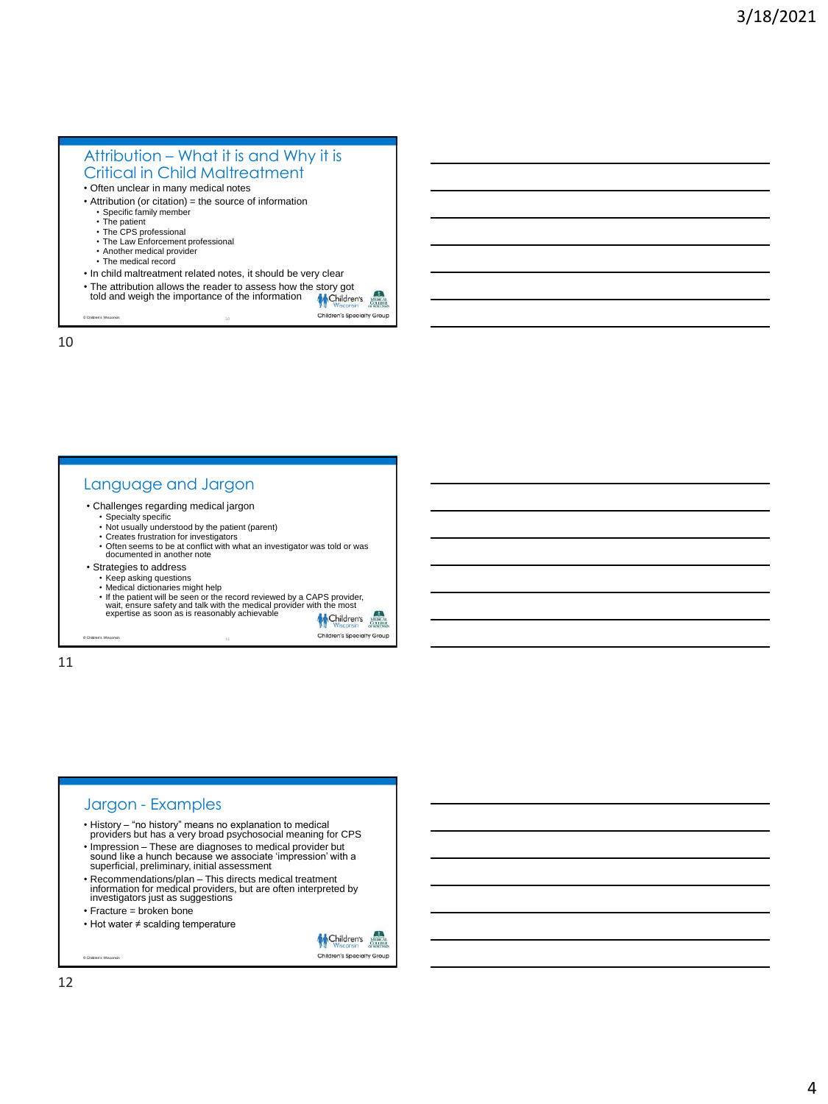# Attribution – What it is and Why it is Critical in Child Maltreatment

- Often unclear in many medical notes
- Attribution (or citation) = the source of information
	- Specific family member
	- The patient
	- The CPS professional • The Law Enforcement professional
	- Another medical provider
	- The medical record
- In child maltreatment related notes, it should be very clear
- The attribution allows the reader to assess how the story got<br>told and weigh the importance of the information
- told and weigh the importance of the information Children's Specialty Group

10

© Children's Wisconsin

### Language and Jargon

- Challenges regarding medical jargon
	-
	- Specialty specific Not usually understood by the patient (parent)
	- Creates frustration for investigators • Often seems to be at conflict with what an investigator was told or was documented in another note
- Strategies to address
	-
	- Keep asking questions Medical dictionaries might help
	- If the patient will be seen or the record reviewed by a CAPS provider,<br>wait, ensure safety and talk with the medical provider with the most<br>expertise as soon as is reasonably achievable<br>at child and child

Children's Children's Specialty Group

11

© Children's Wisconsin

# Jargon - Examples

- History "no history" means no explanation to medical providers but has a very broad psychosocial meaning for CPS
- Impression These are diagnoses to medical provider but sound like a hunch because we associate 'impression' with a superficial, preliminary, initial assessment
- Recommendations/plan This directs medical treatment information for medical providers, but are often interpreted by investigators just as suggestions
- 
- Fracture = broken bone
- Hot water ≠ scalding temperature

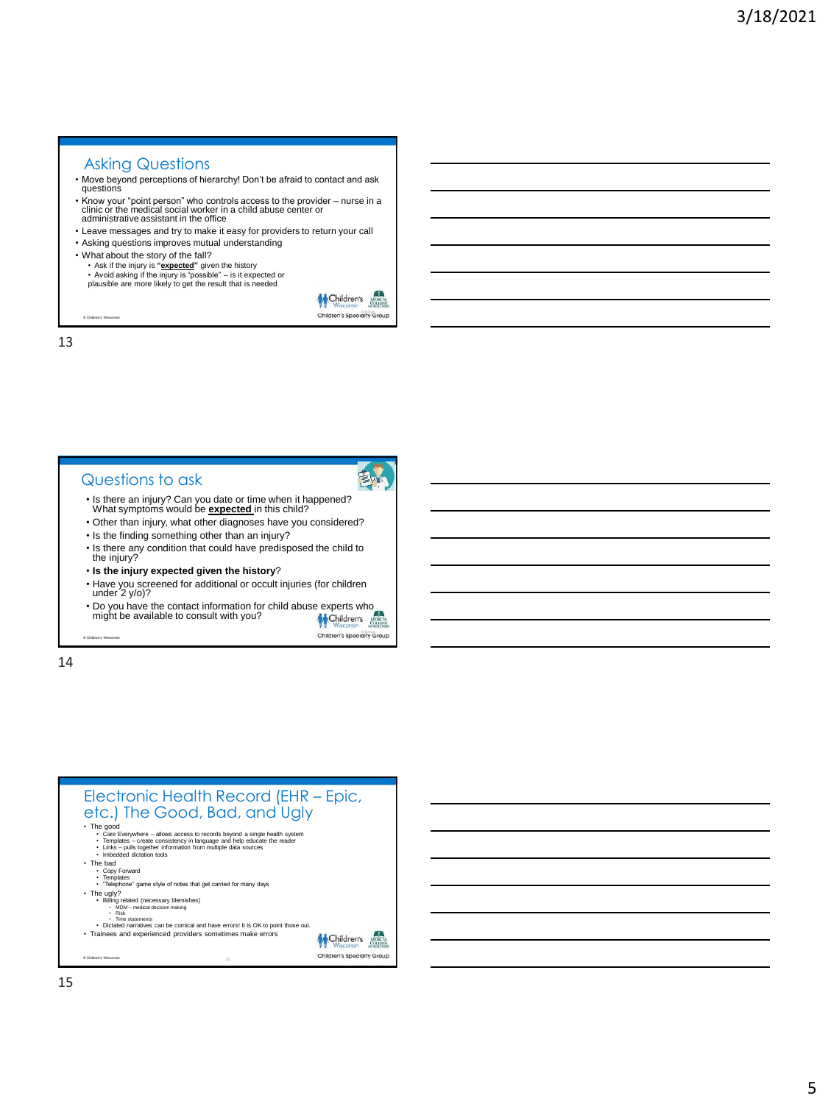# Asking Questions

- Move beyond perceptions of hierarchy! Don't be afraid to contact and ask questions
- Know your "point person" who controls access to the provider nurse in a clinic or the medical social worker in a child abuse center or administrative assistant in the office
- Leave messages and try to make it easy for providers to return your call
- Asking questions improves mutual understanding
- What about the story of the fall? • Ask if the injury is **"expected"** given the history • Avoid asking if the injury is "possible" – is it expected or plausible are more likely to get the result that is needed



13

© Children's Wisconsin

#### Questions to ask



- Is there an injury? Can you date or time when it happened? What symptoms would be **expected** in this child?
- Other than injury, what other diagnoses have you considered? • Is the finding something other than an injury?
- Is there any condition that could have predisposed the child to
- the injury? • **Is the injury expected given the history**?
- Have you screened for additional or occult injuries (for children under 2 y/o)?
- Do you have the contact information for child abuse experts who might be available to consult with you? might be available to consult with you?

Children's Specialty Group

14

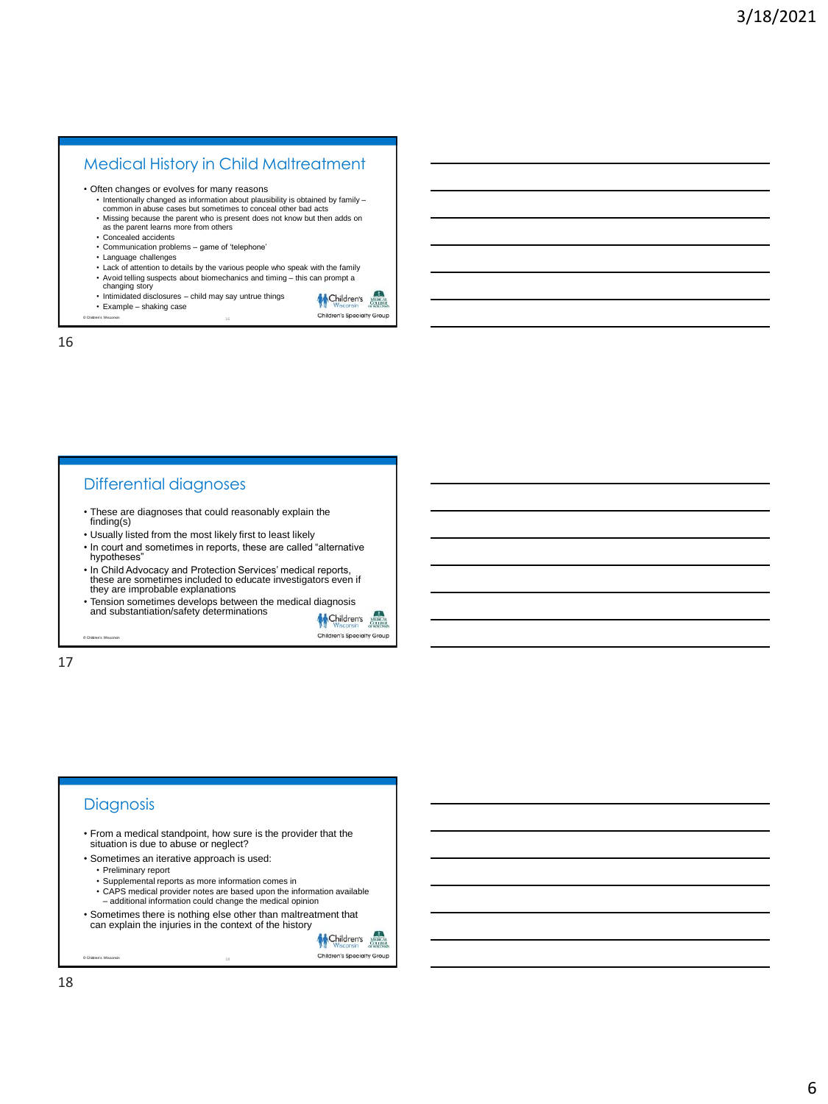# Medical History in Child Maltreatment

• Often changes or evolves for many reasons

- Intentionally changed as information about plausibility is obtained by family common in abuse cases but sometimes to conceal other bad acts
- Missing because the parent who is present does not know but then adds on as the parent learns more from others
- 
- Concealed accidents
- Communication problems game of 'telephone'
- Language challenges
- Lack of attention to details by the various people who speak with the family
- Avoid telling suspects about biomechanics and timing this can prompt a changing story
- Intimidated disclosures child may say untrue things
- Example shaking case
- © Children's Wisconsin

16

Differential diagnoses

- These are diagnoses that could reasonably explain the finding(s)
- Usually listed from the most likely first to least likely
- In court and sometimes in reports, these are called "alternative hypotheses"
- In Child Advocacy and Protection Services' medical reports, these are sometimes included to educate investigators even if they are improbable explanations
- Tension sometimes develops between the medical diagnosis<br>and substantiation/safety determinations



Children's March Children's Specialty Group

17

© Children's Wisconsin

## **Diagnosis**

- From a medical standpoint, how sure is the provider that the situation is due to abuse or neglect?
- Sometimes an iterative approach is used:
	- Preliminary report
	- Supplemental reports as more information comes in
	- CAPS medical provider notes are based upon the information available – additional information could change the medical opinion
- Sometimes there is nothing else other than maltreatment that can explain the injuries in the context of the history

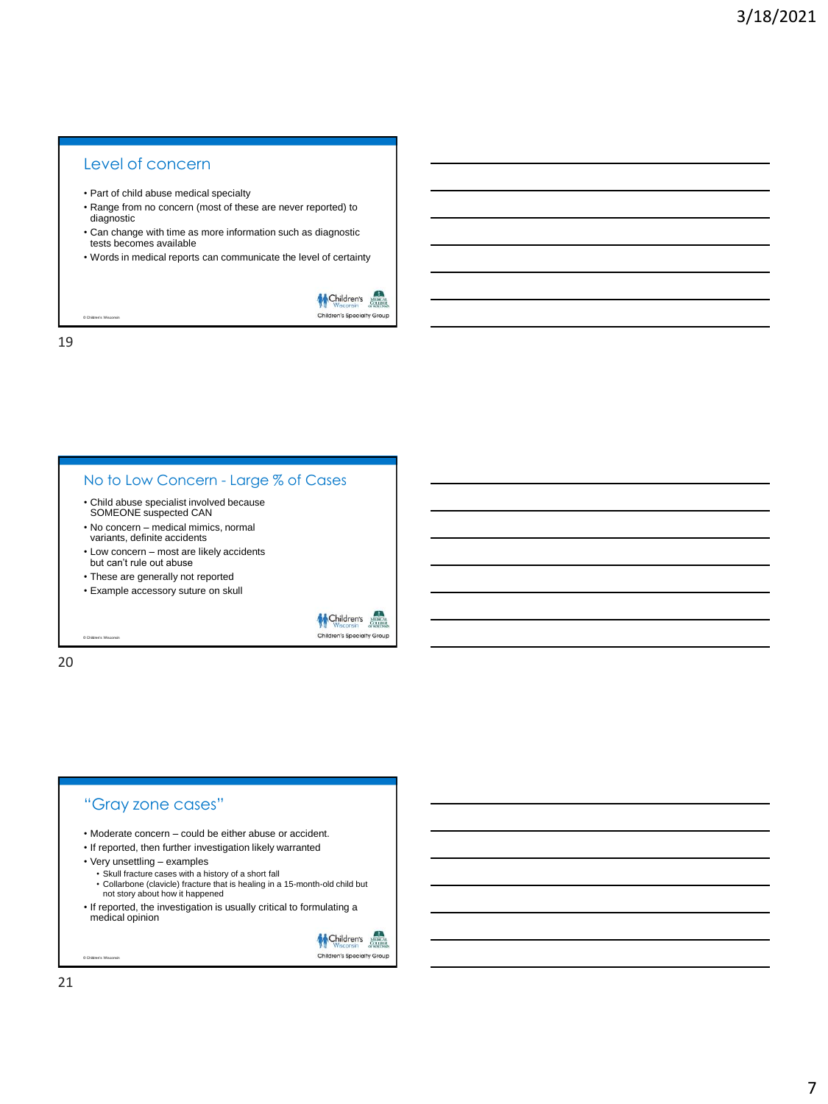# Level of concern

- Part of child abuse medical specialty
- Range from no concern (most of these are never reported) to diagnostic
- Can change with time as more information such as diagnostic tests becomes available
- Words in medical reports can communicate the level of certainty



19

© Children's Wisconsin

#### No to Low Concern - Large % of Cases

- Child abuse specialist involved because SOMEONE suspected CAN
- No concern medical mimics, normal variants, definite accidents
- Low concern most are likely accidents but can't rule out abuse
- These are generally not reported
- Example accessory suture on skull



20

© Children's Wisconsin

# "Gray zone cases"

- Moderate concern could be either abuse or accident.
- If reported, then further investigation likely warranted
- 
- Very unsettling examples Skull fracture cases with a history of a short fall
- Collarbone (clavicle) fracture that is healing in a 15-month-old child but not story about how it happened
- If reported, the investigation is usually critical to formulating a medical opinion

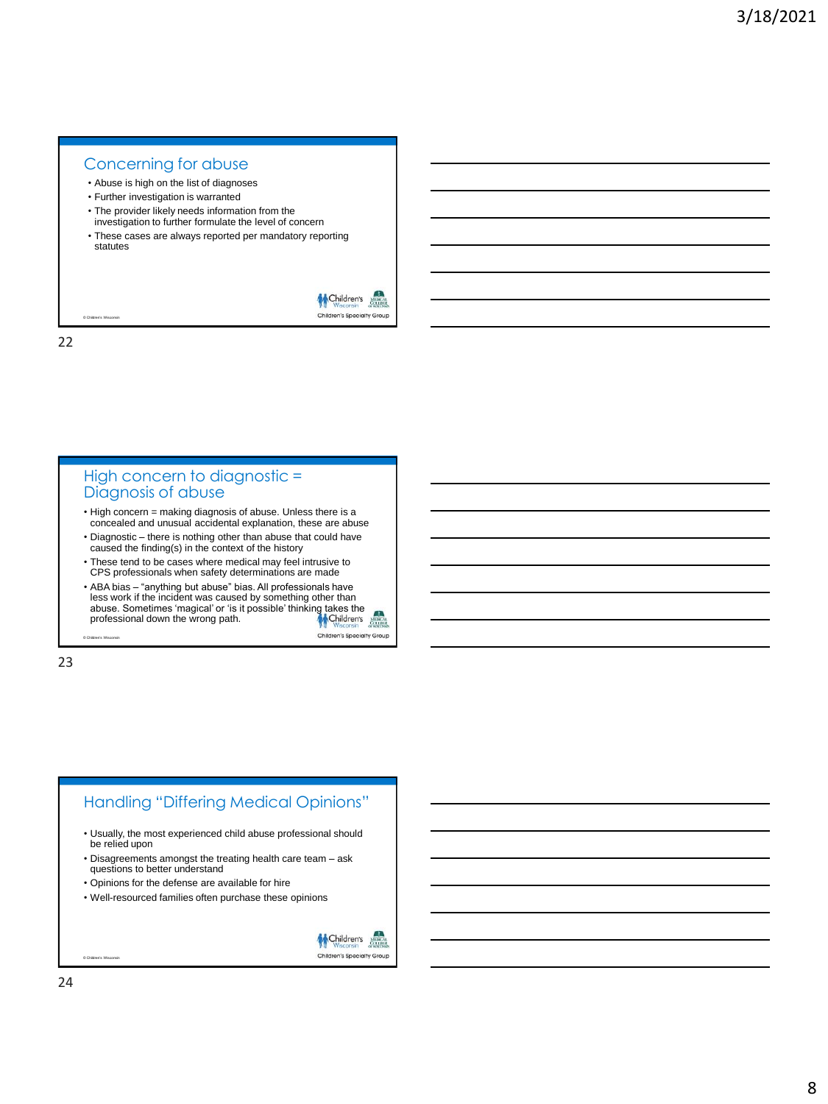# Concerning for abuse

- Abuse is high on the list of diagnoses
- Further investigation is warranted
- The provider likely needs information from the investigation to further formulate the level of concern
- These cases are always reported per mandatory reporting statutes



22

© Children's Wisconsin

#### High concern to diagnostic = Diagnosis of abuse

- High concern = making diagnosis of abuse. Unless there is a concealed and unusual accidental explanation, these are abuse
- Diagnostic there is nothing other than abuse that could have caused the finding(s) in the context of the history
- These tend to be cases where medical may feel intrusive to CPS professionals when safety determinations are made
- ABA bias "anything but abuse" bias. All professionals have less work if the incident was caused by something other than<br>abuse. Sometimes 'magical' or 'is it possible' thinking takes the<br>professional down the wrong path. Children's Specialty Group

© Children's Wisconsin

23

# Handling "Differing Medical Opinions" • Usually, the most experienced child abuse professional should be relied upon • Disagreements amongst the treating health care team – ask questions to better understand • Opinions for the defense are available for hire • Well-resourced families often purchase these opinions

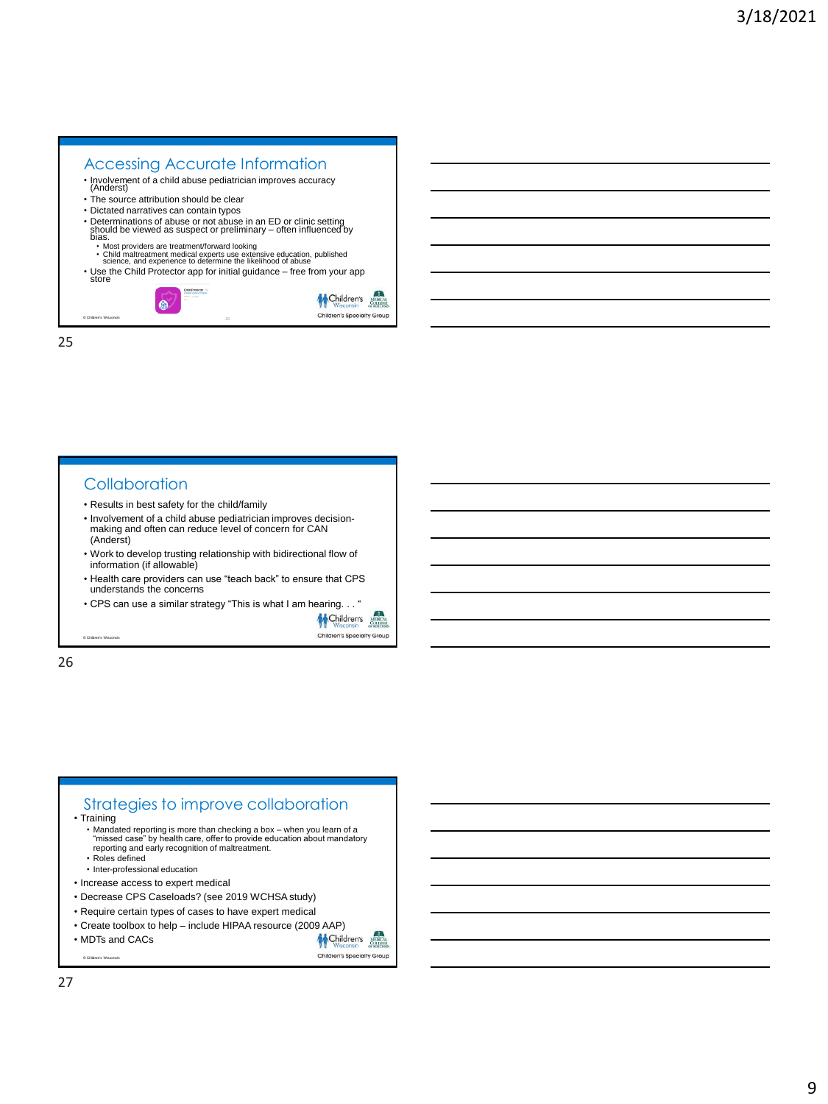### Accessing Accurate Information • Involvement of a child abuse pediatrician improves accuracy (Anderst) • The source attribution should be clear • Dictated narratives can contain typos • Determinations of abuse or not abuse in an ED or clinic setting should be viewed as suspect or preliminary – often influenced by bias. • Most providers are treatment/forward looking<br>• Child maltreatment medical experts use extensive education, published<br>• science, and experience to determine the likelihood of abuse • Use the Child Protector app for initial guidance – free from your app store Children's  $\bullet$

25

© Children's Wisconsin

#### **Collaboration**

- Results in best safety for the child/family
- Involvement of a child abuse pediatrician improves decisionmaking and often can reduce level of concern for CAN (Anderst)
- Work to develop trusting relationship with bidirectional flow of information (if allowable)
- Health care providers can use "teach back" to ensure that CPS understands the concerns
- CPS can use a similar strategy "This is what I am hearing. . . "



Children's Specialty Group

Children's Specialty Group

26

© Children's Wisconsin

### Strategies to improve collaboration • Training • Mandated reporting is more than checking a box – when you learn of a "missed case" by health care, offer to provide education about mandatory reporting and early recognition of maltreatment. • Roles defined • Inter-professional education • Increase access to expert medical • Decrease CPS Caseloads? (see 2019 WCHSA study) • Require certain types of cases to have expert medical • Create toolbox to help – include HIPAA resource (2009 AAP)<br>• MDTs and CACs • MDTs and CACs

© Children's Wisconsin

27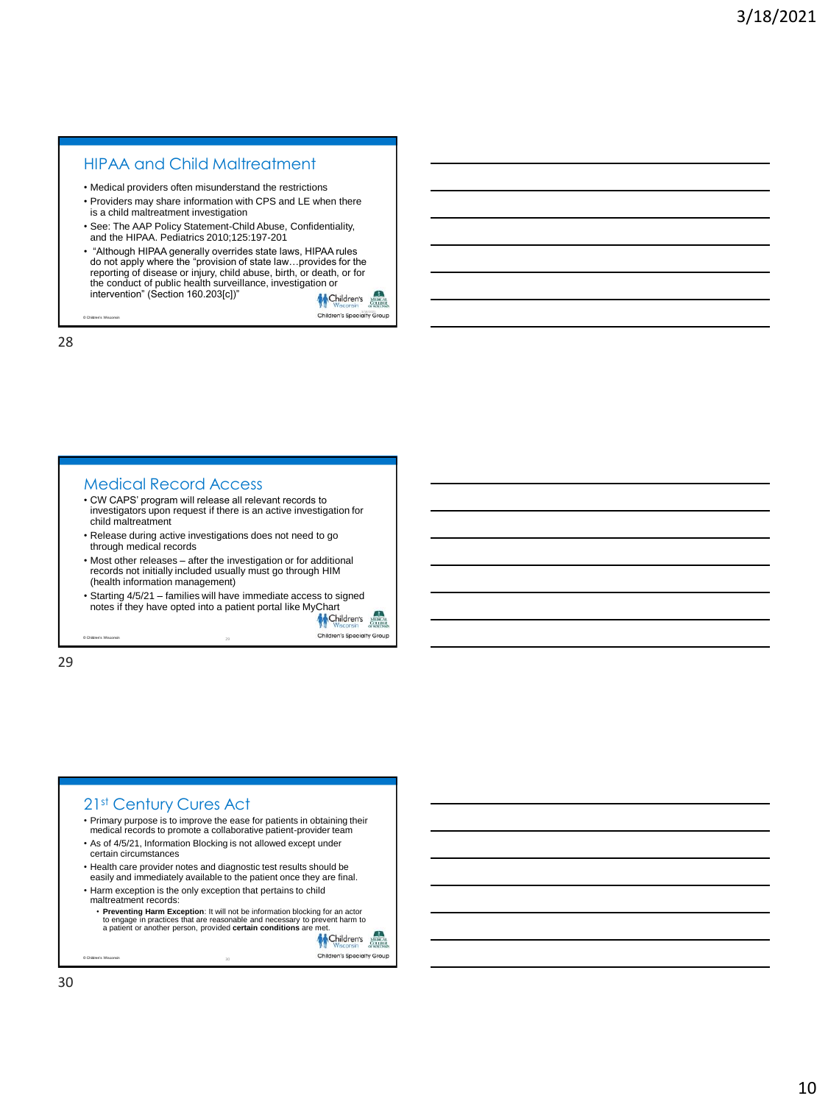# HIPAA and Child Maltreatment 28

- Medical providers often misunderstand the restrictions
- Providers may share information with CPS and LE when there is a child maltreatment investigation
- See: The AAP Policy Statement-Child Abuse, Confidentiality, and the HIPAA. Pediatrics 2010;125:197-201
- "Although HIPAA generally overrides state laws, HIPAA rules do not apply where the "provision of state law…provides for the reporting of disease or injury, child abuse, birth, or death, or for the conduct of public health surveillance, investigation or intervention" (Section 160.203[c])"



28

© Children's Wisconsin

#### Medical Record Access

- CW CAPS' program will release all relevant records to investigators upon request if there is an active investigation for child maltreatment
- Release during active investigations does not need to go through medical records
- Most other releases after the investigation or for additional records not initially included usually must go through HIM (health information management)
- Starting 4/5/21 families will have immediate access to signed notes if they have opted into a patient portal like MyChart



29

© Children's Wisconsin

# 21st Century Cures Act

- Primary purpose is to improve the ease for patients in obtaining their medical records to promote a collaborative patient-provider team
- As of 4/5/21, Information Blocking is not allowed except under certain circumstances
- Health care provider notes and diagnostic test results should be
- easily and immediately available to the patient once they are final. • Harm exception is the only exception that pertains to child
- maltreatment records:
- Preventing Harm Exception: It will not be information blocking for an actor<br>to engage in practices that are reasonable and necessary to prevent harm to<br>a patient or another person, provided certain conditions are met.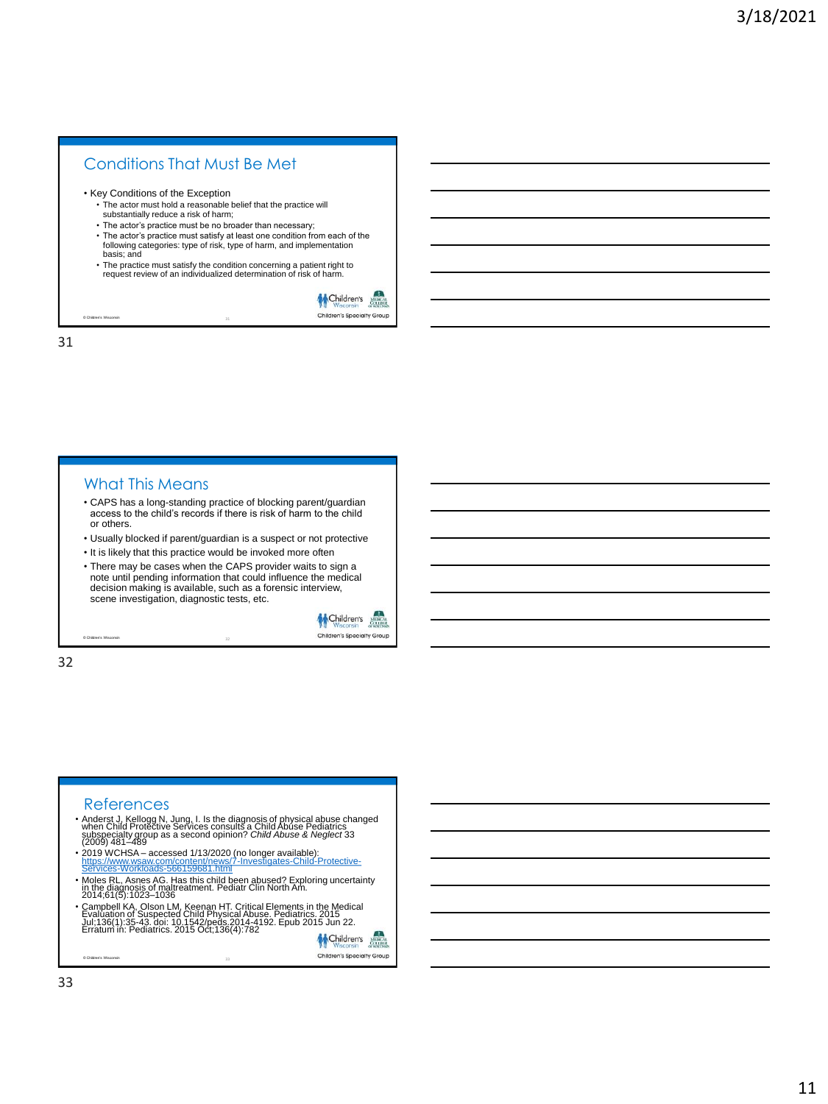# Conditions That Must Be Met

• Key Conditions of the Exception

- The actor must hold a reasonable belief that the practice will substantially reduce a risk of harm;
- The actor's practice must be no broader than necessary;
- The actor's practice must satisfy at least one condition from each of the following categories: type of risk, type of harm, and implementation basis; and
- The practice must satisfy the condition concerning a patient right to request review of an individualized determination of risk of harm.



31

© Children's Wisconsin

#### What This Means

- CAPS has a long-standing practice of blocking parent/guardian access to the child's records if there is risk of harm to the child or others.
- Usually blocked if parent/guardian is a suspect or not protective
- It is likely that this practice would be invoked more often
- There may be cases when the CAPS provider waits to sign a note until pending information that could influence the medical decision making is available, such as a forensic interview, scene investigation, diagnostic tests, etc.



32

© Children's Wisconsin

- References<br>• Anderst J, Kellogg N, Jung, I. Is the diagnosis of physical abuse changed<br>when Child Protective Services consults a Child Abuse Pediatrics<br>subspecialty group as a second opinion? Child Abuse & Neglect 33<br>(2009
- 2019 WCHSA accessed 1/13/2020 (no longer available): [https://www.wsaw.com/content/news/7-Investigates-Child-Protective](https://www.wsaw.com/content/news/7-Investigates-Child-Protective-Services-Workloads-566159681.html)https://www.wsaw.com/content/news/7-Inves<br><u>Services-Workloads-566159681.html</u>
- Moles RL, Asnes AG. Has this child been abused? Exploring uncertainty in the diagnosis of maltreatment. Pediatr Clin North Am. 2014;61(5):1023–1036
- Campbell KA, Olson LM, Keenan HT. Critical Elements in the Medical<br>Evaluation of Suspected Child Physical Abuse. Pediatrics. 2015<br>Jul;138(1):35-43. doi: 10.1542/peds.2014-4192. Epub 2015<br>Erratum in: Pediatrics. 2015 Oct;

Children's Children's Specialty Group